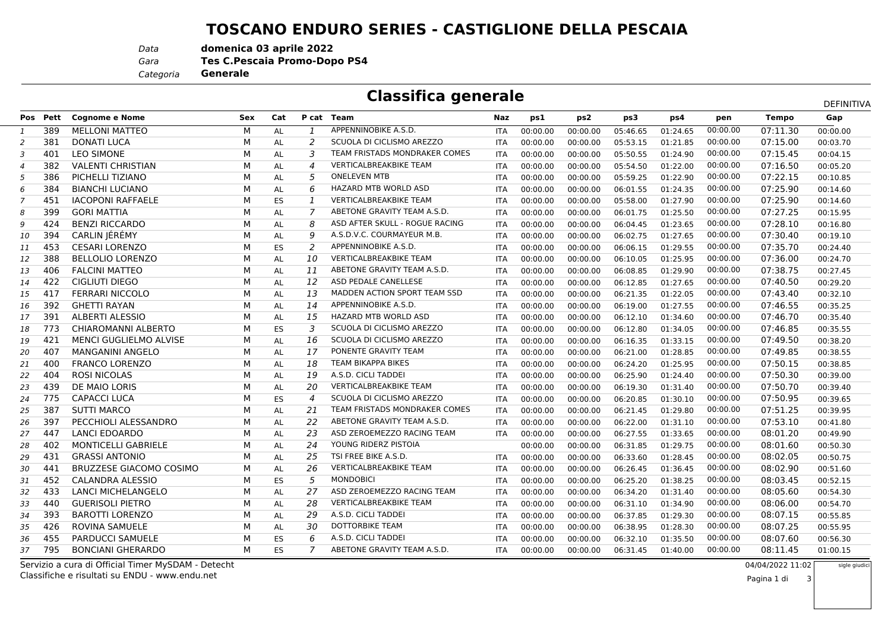## **TOSCANO ENDURO SERIES - CASTIGLIONE DELLA PESCAIA**

*Data***domenica 03 aprile 2022**

**Tes C.Pescaia Promo-Dopo PS4**

*Categoria***Generale**

*Gara*

## **Classifica generale**

|                            |          |                                |            |           |                |                                |            |          |                 |          | DEFINITIVA |          |              |          |
|----------------------------|----------|--------------------------------|------------|-----------|----------------|--------------------------------|------------|----------|-----------------|----------|------------|----------|--------------|----------|
|                            | Pos Pett | <b>Cognome e Nome</b>          | <b>Sex</b> | Cat       |                | P cat Team                     | Naz        | ps1      | ps <sub>2</sub> | ps3      | ps4        | pen      | <b>Tempo</b> | Gap      |
| 1                          | 389      | <b>MELLONI MATTEO</b>          | м          | AL        | 1              | APPENNINOBIKE A.S.D.           | <b>ITA</b> | 00:00.00 | 00:00.00        | 05:46.65 | 01:24.65   | 00:00.00 | 07:11.30     | 00:00.00 |
| 2                          | 381      | <b>DONATI LUCA</b>             | М          | AL        | 2              | SCUOLA DI CICLISMO AREZZO      | <b>ITA</b> | 00:00.00 | 00:00.00        | 05:53.15 | 01:21.85   | 00:00.00 | 07:15.00     | 00:03.70 |
| 3                          | 401      | <b>LEO SIMONE</b>              | M          | AL        | 3              | TEAM FRISTADS MONDRAKER COMES  | <b>ITA</b> | 00:00.00 | 00:00.00        | 05:50.55 | 01:24.90   | 00:00.00 | 07:15.45     | 00:04.15 |
| $\boldsymbol{\mathcal{A}}$ | 382      | <b>VALENTI CHRISTIAN</b>       | м          | AL        | $\overline{4}$ | <b>VERTICALBREAKBIKE TEAM</b>  | <b>ITA</b> | 00:00.00 | 00:00.00        | 05:54.50 | 01:22.00   | 00:00.00 | 07:16.50     | 00:05.20 |
| 5                          | 386      | PICHELLI TIZIANO               | м          | AL        | 5              | <b>ONELEVEN MTB</b>            | <b>ITA</b> | 00:00.00 | 00:00.00        | 05:59.25 | 01:22.90   | 00:00.00 | 07:22.15     | 00:10.85 |
| 6                          | 384      | <b>BIANCHI LUCIANO</b>         | M          | AL        | 6              | HAZARD MTB WORLD ASD           | <b>ITA</b> | 00:00.00 | 00:00.00        | 06:01.55 | 01:24.35   | 00:00.00 | 07:25.90     | 00:14.60 |
| 7                          | 451      | <b>IACOPONI RAFFAELE</b>       | м          | <b>ES</b> |                | <b>VERTICALBREAKBIKE TEAM</b>  | ITA        | 00:00.00 | 00:00.00        | 05:58.00 | 01:27.90   | 00:00.00 | 07:25.90     | 00:14.60 |
| 8                          | 399      | <b>GORI MATTIA</b>             | м          | AL        |                | ABETONE GRAVITY TEAM A.S.D.    | ITA        | 00:00.00 | 00:00.00        | 06:01.75 | 01:25.50   | 00:00.00 | 07:27.25     | 00:15.95 |
| 9                          | 424      | <b>BENZI RICCARDO</b>          | м          | AL        | 8              | ASD AFTER SKULL - ROGUE RACING | ITA        | 00:00.00 | 00:00.00        | 06:04.45 | 01:23.65   | 00:00.00 | 07:28.10     | 00:16.80 |
| 10                         | 394      | CARLIN JÉRÉMY                  | M          | AL        | 9              | A.S.D.V.C. COURMAYEUR M.B.     | <b>ITA</b> | 00:00.00 | 00:00.00        | 06:02.75 | 01:27.65   | 00:00.00 | 07:30.40     | 00:19.10 |
| 11                         | 453      | <b>CESARI LORENZO</b>          | M          | ES        | 2              | APPENNINOBIKE A.S.D.           | <b>ITA</b> | 00:00.00 | 00:00.00        | 06:06.15 | 01:29.55   | 00:00.00 | 07:35.70     | 00:24.40 |
| 12                         | 388      | <b>BELLOLIO LORENZO</b>        | M          | AL        | 10             | <b>VERTICALBREAKBIKE TEAM</b>  | <b>ITA</b> | 00:00.00 | 00:00.00        | 06:10.05 | 01:25.95   | 00:00.00 | 07:36.00     | 00:24.70 |
| 13                         | 406      | <b>FALCINI MATTEO</b>          | М          | AL        | 11             | ABETONE GRAVITY TEAM A.S.D.    | <b>ITA</b> | 00:00.00 | 00:00.00        | 06:08.85 | 01:29.90   | 00:00.00 | 07:38.75     | 00:27.45 |
| 14                         | 422      | CIGLIUTI DIEGO                 | М          | AL        | 12             | ASD PEDALE CANELLESE           | <b>ITA</b> | 00:00.00 | 00:00.00        | 06:12.85 | 01:27.65   | 00:00.00 | 07:40.50     | 00:29.20 |
| 15                         | 417      | <b>FERRARI NICCOLO</b>         | М          | AL        | 13             | MADDEN ACTION SPORT TEAM SSD   | ITA        | 00:00.00 | 00:00.00        | 06:21.35 | 01:22.05   | 00:00.00 | 07:43.40     | 00:32.10 |
| 16                         | 392      | <b>GHETTI RAYAN</b>            | M          | AL        | 14             | APPENNINOBIKE A.S.D.           | <b>ITA</b> | 00:00.00 | 00:00.00        | 06:19.00 | 01:27.55   | 00:00.00 | 07:46.55     | 00:35.25 |
| 17                         | 391      | <b>ALBERTI ALESSIO</b>         | М          | AL        | 15             | <b>HAZARD MTB WORLD ASD</b>    | <b>ITA</b> | 00:00.00 | 00:00.00        | 06:12.10 | 01:34.60   | 00:00.00 | 07:46.70     | 00:35.40 |
| 18                         | 773      | CHIAROMANNI ALBERTO            | M          | <b>ES</b> | 3              | SCUOLA DI CICLISMO AREZZO      | ITA        | 00:00.00 | 00:00.00        | 06:12.80 | 01:34.05   | 00:00.00 | 07:46.85     | 00:35.55 |
| 19                         | 421      | <b>MENCI GUGLIELMO ALVISE</b>  | м          | AL        | 16             | SCUOLA DI CICLISMO AREZZO      | <b>ITA</b> | 00:00.00 | 00:00.00        | 06:16.35 | 01:33.15   | 00:00.00 | 07:49.50     | 00:38.20 |
| 20                         | 407      | <b>MANGANINI ANGELO</b>        | м          | AL        | 17             | PONENTE GRAVITY TEAM           | ITA        | 00:00.00 | 00:00.00        | 06:21.00 | 01:28.85   | 00:00.00 | 07:49.85     | 00:38.55 |
| 21                         | 400      | <b>FRANCO LORENZO</b>          | М          | AL        | 18             | <b>TEAM BIKAPPA BIKES</b>      | ITA        | 00:00.00 | 00:00.00        | 06:24.20 | 01:25.95   | 00:00.00 | 07:50.15     | 00:38.85 |
| 22                         | 404      | <b>ROSI NICOLAS</b>            | M          | AL        | 19             | A.S.D. CICLI TADDEI            | <b>ITA</b> | 00:00.00 | 00:00.00        | 06:25.90 | 01:24.40   | 00:00.00 | 07:50.30     | 00:39.00 |
| 23                         | 439      | DE MAIO LORIS                  | M          | AL        | 20             | <b>VERTICALBREAKBIKE TEAM</b>  | <b>ITA</b> | 00:00.00 | 00:00.00        | 06:19.30 | 01:31.40   | 00:00.00 | 07:50.70     | 00:39.40 |
| 24                         | 775      | CAPACCI LUCA                   | М          | ES        | $\overline{4}$ | SCUOLA DI CICLISMO AREZZO      | ITA        | 00:00.00 | 00:00.00        | 06:20.85 | 01:30.10   | 00:00.00 | 07:50.95     | 00:39.65 |
| 25                         | 387      | <b>SUTTI MARCO</b>             | м          | AL        | 21             | TEAM FRISTADS MONDRAKER COMES  | <b>ITA</b> | 00:00.00 | 00:00.00        | 06:21.45 | 01:29.80   | 00:00.00 | 07:51.25     | 00:39.95 |
| 26                         | 397      | PECCHIOLI ALESSANDRO           | M          | AL        | 22             | ABETONE GRAVITY TEAM A.S.D.    | <b>ITA</b> | 00:00.00 | 00:00.00        | 06:22.00 | 01:31.10   | 00:00.00 | 07:53.10     | 00:41.80 |
| 27                         | 447      | <b>LANCI EDOARDO</b>           | M          | AL        | 23             | ASD ZEROEMEZZO RACING TEAM     | ITA        | 00:00.00 | 00:00.00        | 06:27.55 | 01:33.65   | 00:00.00 | 08:01.20     | 00:49.90 |
| 28                         | 402      | MONTICELLI GABRIELE            | M          | AL        | 24             | YOUNG RIDERZ PISTOIA           |            | 00:00.00 | 00:00.00        | 06:31.85 | 01:29.75   | 00:00.00 | 08:01.60     | 00:50.30 |
| 29                         | 431      | <b>GRASSI ANTONIO</b>          | M          | AL        | 25             | TSI FREE BIKE A.S.D.           | ITA        | 00:00.00 | 00:00.00        | 06:33.60 | 01:28.45   | 00:00.00 | 08:02.05     | 00:50.75 |
| 30                         | 441      | <b>BRUZZESE GIACOMO COSIMO</b> | M          | AL        | 26             | <b>VERTICALBREAKBIKE TEAM</b>  | ITA        | 00:00.00 | 00:00.00        | 06:26.45 | 01:36.45   | 00:00.00 | 08:02.90     | 00:51.60 |
| 31                         | 452      | CALANDRA ALESSIO               | M          | ES        | 5              | <b>MONDOBICI</b>               | <b>ITA</b> | 00:00.00 | 00:00.00        | 06:25.20 | 01:38.25   | 00:00.00 | 08:03.45     | 00:52.15 |
| 32                         | 433      | <b>LANCI MICHELANGELO</b>      | М          | AL        | 27             | ASD ZEROEMEZZO RACING TEAM     | <b>ITA</b> | 00:00.00 | 00:00.00        | 06:34.20 | 01:31.40   | 00:00.00 | 08:05.60     | 00:54.30 |
| 33                         | 440      | <b>GUERISOLI PIETRO</b>        | M          | AL        | 28             | <b>VERTICALBREAKBIKE TEAM</b>  | <b>ITA</b> | 00:00.00 | 00:00.00        | 06:31.10 | 01:34.90   | 00:00.00 | 08:06.00     | 00:54.70 |
| 34                         | 393      | <b>BAROTTI LORENZO</b>         | м          | AL        | 29             | A.S.D. CICLI TADDEI            | <b>ITA</b> | 00:00.00 | 00:00.00        | 06:37.85 | 01:29.30   | 00:00.00 | 08:07.15     | 00:55.85 |
| 35                         | 426      | ROVINA SAMUELE                 | м          | AL        | 30             | <b>DOTTORBIKE TEAM</b>         | <b>ITA</b> | 00:00.00 | 00:00.00        | 06:38.95 | 01:28.30   | 00:00.00 | 08:07.25     | 00:55.95 |
| 36                         | 455      | PARDUCCI SAMUELE               | М          | ES        | 6              | A.S.D. CICLI TADDEI            | <b>ITA</b> | 00:00.00 | 00:00.00        | 06:32.10 | 01:35.50   | 00:00.00 | 08:07.60     | 00:56.30 |
| 37                         | 795      | <b>BONCIANI GHERARDO</b>       | м          | ES.       |                | ABETONE GRAVITY TEAM A.S.D.    | <b>ITA</b> | 00:00.00 | 00:00.00        | 06:31.45 | 01:40.00   | 00:00.00 | 08:11.45     | 01:00.15 |
|                            |          |                                |            |           |                |                                |            |          |                 |          |            |          |              |          |

 Servizio a cura di Official Timer MySDAM - DetechtClassifiche e risultati su ENDU - www.endu.net

 04/04/2022 11:02sigle giudic

3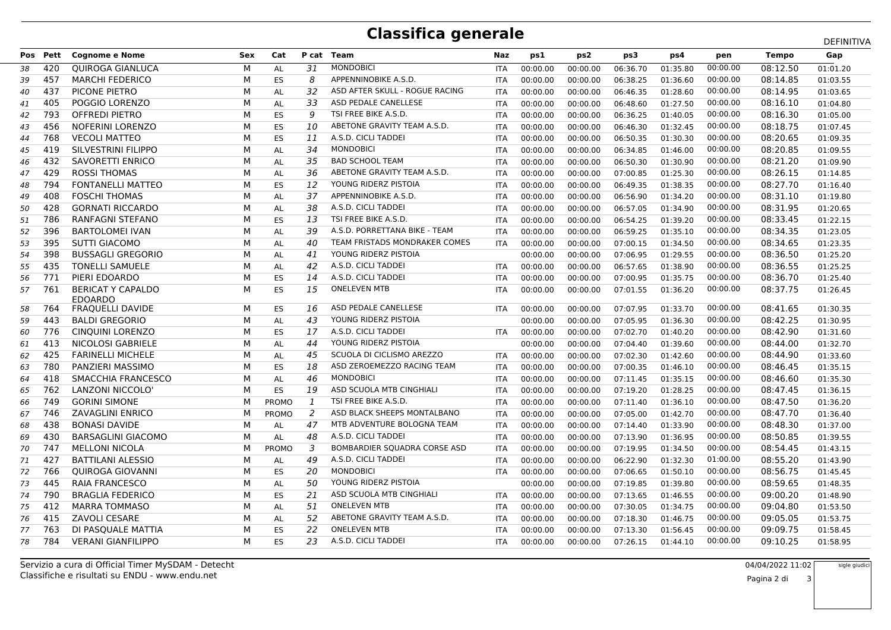## **Classifica generale**

|    |          |                                            |     |              |                |                                     |            |          |                 |          |          | DEFINITIVA |              |          |  |  |
|----|----------|--------------------------------------------|-----|--------------|----------------|-------------------------------------|------------|----------|-----------------|----------|----------|------------|--------------|----------|--|--|
|    | Pos Pett | <b>Cognome e Nome</b>                      | Sex | Cat          |                | P cat Team                          | Naz        | ps1      | ps <sub>2</sub> | ps3      | ps4      | pen        | <b>Tempo</b> | Gap      |  |  |
| 38 | 420      | <b>QUIROGA GIANLUCA</b>                    | М   | AL           | 31             | <b>MONDOBICI</b>                    | <b>ITA</b> | 00:00.00 | 00:00.00        | 06:36.70 | 01:35.80 | 00:00.00   | 08:12.50     | 01:01.20 |  |  |
| 39 | 457      | <b>MARCHI FEDERICO</b>                     | М   | ES           | 8              | APPENNINOBIKE A.S.D.                | <b>ITA</b> | 00:00.00 | 00:00.00        | 06:38.25 | 01:36.60 | 00:00.00   | 08:14.85     | 01:03.55 |  |  |
| 40 | 437      | PICONE PIETRO                              | М   | AL           | 32             | ASD AFTER SKULL - ROGUE RACING      | ITA        | 00:00.00 | 00:00.00        | 06:46.35 | 01:28.60 | 00:00.00   | 08:14.95     | 01:03.65 |  |  |
| 41 | 405      | POGGIO LORENZO                             | М   | AL           | 33             | ASD PEDALE CANELLESE                | ITA        | 00:00.00 | 00:00.00        | 06:48.60 | 01:27.50 | 00:00.00   | 08:16.10     | 01:04.80 |  |  |
| 42 | 793      | <b>OFFREDI PIETRO</b>                      | М   | ES           | 9              | TSI FREE BIKE A.S.D.                | <b>ITA</b> | 00:00.00 | 00:00.00        | 06:36.25 | 01:40.05 | 00:00.00   | 08:16.30     | 01:05.00 |  |  |
| 43 | 456      | <b>NOFERINI LORENZO</b>                    | М   | ES           | 10             | ABETONE GRAVITY TEAM A.S.D.         | <b>ITA</b> | 00:00.00 | 00:00.00        | 06:46.30 | 01:32.45 | 00:00.00   | 08:18.75     | 01:07.45 |  |  |
| 44 | 768      | <b>VECOLI MATTEO</b>                       | M   | ES           | 11             | A.S.D. CICLI TADDEI                 | <b>ITA</b> | 00:00.00 | 00:00.00        | 06:50.35 | 01:30.30 | 00:00.00   | 08:20.65     | 01:09.35 |  |  |
| 45 | 419      | SILVESTRINI FILIPPO                        | М   | AL           | 34             | <b>MONDOBICI</b>                    | <b>ITA</b> | 00:00.00 | 00:00.00        | 06:34.85 | 01:46.00 | 00:00.00   | 08:20.85     | 01:09.55 |  |  |
| 46 | 432      | SAVORETTI ENRICO                           | M   | AL           | 35             | <b>BAD SCHOOL TEAM</b>              | <b>ITA</b> | 00:00.00 | 00:00.00        | 06:50.30 | 01:30.90 | 00:00.00   | 08:21.20     | 01:09.90 |  |  |
| 47 | 429      | <b>ROSSI THOMAS</b>                        | M   | AL           | 36             | ABETONE GRAVITY TEAM A.S.D.         | <b>ITA</b> | 00:00.00 | 00:00.00        | 07:00.85 | 01:25.30 | 00:00.00   | 08:26.15     | 01:14.85 |  |  |
| 48 | 794      | FONTANELLI MATTEO                          | M   | ES           | 12             | YOUNG RIDERZ PISTOIA                | ITA        | 00:00.00 | 00:00.00        | 06:49.35 | 01:38.35 | 00:00.00   | 08:27.70     | 01:16.40 |  |  |
| 49 | 408      | <b>FOSCHI THOMAS</b>                       | М   | AL           | 37             | APPENNINOBIKE A.S.D.                | ITA        | 00:00.00 | 00:00.00        | 06:56.90 | 01:34.20 | 00:00.00   | 08:31.10     | 01:19.80 |  |  |
| 50 | 428      | <b>GORNATI RICCARDO</b>                    | М   | AL           | 38             | A.S.D. CICLI TADDEI                 | <b>ITA</b> | 00:00.00 | 00:00.00        | 06:57.05 | 01:34.90 | 00:00.00   | 08:31.95     | 01:20.65 |  |  |
| 51 | 786      | RANFAGNI STEFANO                           | М   | ES           | 13             | TSI FREE BIKE A.S.D.                | <b>ITA</b> | 00:00.00 | 00:00.00        | 06:54.25 | 01:39.20 | 00:00.00   | 08:33.45     | 01:22.15 |  |  |
| 52 | 396      | <b>BARTOLOMEI IVAN</b>                     | М   | AL           | 39             | A.S.D. PORRETTANA BIKE - TEAM       | <b>ITA</b> | 00:00.00 | 00:00.00        | 06:59.25 | 01:35.10 | 00:00.00   | 08:34.35     | 01:23.05 |  |  |
| 53 | 395      | <b>SUTTI GIACOMO</b>                       | М   | AL           | 40             | TEAM FRISTADS MONDRAKER COMES       | <b>ITA</b> | 00:00.00 | 00:00.00        | 07:00.15 | 01:34.50 | 00:00.00   | 08:34.65     | 01:23.35 |  |  |
| 54 | 398      | <b>BUSSAGLI GREGORIO</b>                   | М   | AL           | 41             | YOUNG RIDERZ PISTOIA                |            | 00:00.00 | 00:00.00        | 07:06.95 | 01:29.55 | 00:00.00   | 08:36.50     | 01:25.20 |  |  |
| 55 | 435      | <b>TONELLI SAMUELE</b>                     | M   | AL           | 42             | A.S.D. CICLI TADDEI                 | <b>ITA</b> | 00:00.00 | 00:00.00        | 06:57.65 | 01:38.90 | 00:00.00   | 08:36.55     | 01:25.25 |  |  |
| 56 | 771      | PIERI EDOARDO                              | M   | ES           | 14             | A.S.D. CICLI TADDEI                 | ITA        | 00:00.00 | 00:00.00        | 07:00.95 | 01:35.75 | 00:00.00   | 08:36.70     | 01:25.40 |  |  |
| 57 | 761      | <b>BERICAT Y CAPALDO</b><br><b>EDOARDO</b> | M   | ES           | 15             | <b>ONELEVEN MTB</b>                 | ITA        | 00:00.00 | 00:00.00        | 07:01.55 | 01:36.20 | 00:00.00   | 08:37.75     | 01:26.45 |  |  |
| 58 | 764      | <b>FRAQUELLI DAVIDE</b>                    | М   | ES           | 16             | ASD PEDALE CANELLESE                | <b>ITA</b> | 00:00.00 | 00:00.00        | 07:07.95 | 01:33.70 | 00:00.00   | 08:41.65     | 01:30.35 |  |  |
| 59 | 443      | <b>BALDI GREGORIO</b>                      | М   | AL           | 43             | YOUNG RIDERZ PISTOIA                |            | 00:00.00 | 00:00.00        | 07:05.95 | 01:36.30 | 00:00.00   | 08:42.25     | 01:30.95 |  |  |
| 60 | 776      | CINOUINI LORENZO                           | М   | ES           | 17             | A.S.D. CICLI TADDEI                 | <b>ITA</b> | 00:00.00 | 00:00.00        | 07:02.70 | 01:40.20 | 00:00.00   | 08:42.90     | 01:31.60 |  |  |
| 61 | 413      | NICOLOSI GABRIELE                          | М   | <b>AL</b>    | 44             | YOUNG RIDERZ PISTOIA                |            | 00:00.00 | 00:00.00        | 07:04.40 | 01:39.60 | 00:00.00   | 08:44.00     | 01:32.70 |  |  |
| 62 | 425      | <b>FARINELLI MICHELE</b>                   | M   | AL           | 45             | SCUOLA DI CICLISMO AREZZO           | <b>ITA</b> | 00:00.00 | 00:00.00        | 07:02.30 | 01:42.60 | 00:00.00   | 08:44.90     | 01:33.60 |  |  |
| 63 | 780      | PANZIERI MASSIMO                           | M   | ES           | 18             | ASD ZEROEMEZZO RACING TEAM          | ITA        | 00:00.00 | 00:00.00        | 07:00.35 | 01:46.10 | 00:00.00   | 08:46.45     | 01:35.15 |  |  |
| 64 | 418      | SMACCHIA FRANCESCO                         | M   | AL           | 46             | <b>MONDOBICI</b>                    | ITA        | 00:00.00 | 00:00.00        | 07:11.45 | 01:35.15 | 00:00.00   | 08:46.60     | 01:35.30 |  |  |
| 65 | 762      | LANZONI NICCOLO'                           | М   | ES           | 19             | ASD SCUOLA MTB CINGHIALI            | <b>ITA</b> | 00:00.00 | 00:00.00        | 07:19.20 | 01:28.25 | 00:00.00   | 08:47.45     | 01:36.15 |  |  |
| 66 | 749      | <b>GORINI SIMONE</b>                       | M   | <b>PROMO</b> | 1              | TSI FREE BIKE A.S.D.                | <b>ITA</b> | 00:00.00 | 00:00.00        | 07:11.40 | 01:36.10 | 00:00.00   | 08:47.50     | 01:36.20 |  |  |
| 67 | 746      | <b>ZAVAGLINI ENRICO</b>                    | М   | <b>PROMO</b> | 2              | ASD BLACK SHEEPS MONTALBANO         | <b>ITA</b> | 00:00.00 | 00:00.00        | 07:05.00 | 01:42.70 | 00:00.00   | 08:47.70     | 01:36.40 |  |  |
| 68 | 438      | <b>BONASI DAVIDE</b>                       | М   | AL           | 47             | MTB ADVENTURE BOLOGNA TEAM          | ITA        | 00:00.00 | 00:00.00        | 07:14.40 | 01:33.90 | 00:00.00   | 08:48.30     | 01:37.00 |  |  |
| 69 | 430      | <b>BARSAGLINI GIACOMO</b>                  | М   | AL           | 48             | A.S.D. CICLI TADDEI                 | <b>ITA</b> | 00:00.00 | 00:00.00        | 07:13.90 | 01:36.95 | 00:00.00   | 08:50.85     | 01:39.55 |  |  |
| 70 | 747      | <b>MELLONI NICOLA</b>                      | М   | <b>PROMO</b> | $\overline{3}$ | <b>BOMBARDIER SQUADRA CORSE ASD</b> | <b>ITA</b> | 00:00.00 | 00:00.00        | 07:19.95 | 01:34.50 | 00:00.00   | 08:54.45     | 01:43.15 |  |  |
| 71 | 427      | <b>BATTILANI ALESSIO</b>                   | M   | AL           | 49             | A.S.D. CICLI TADDEI                 | <b>ITA</b> | 00:00.00 | 00:00.00        | 06:22.90 | 01:32.30 | 01:00.00   | 08:55.20     | 01:43.90 |  |  |
| 72 | 766      | QUIROGA GIOVANNI                           | М   | ES           | 20             | <b>MONDOBICI</b>                    | ITA        | 00:00.00 | 00:00.00        | 07:06.65 | 01:50.10 | 00:00.00   | 08:56.75     | 01:45.45 |  |  |
| 73 | 445      | <b>RAIA FRANCESCO</b>                      | М   | AL           | 50             | YOUNG RIDERZ PISTOIA                |            | 00:00.00 | 00:00.00        | 07:19.85 | 01:39.80 | 00:00.00   | 08:59.65     | 01:48.35 |  |  |
| 74 | 790      | <b>BRAGLIA FEDERICO</b>                    | М   | ES           | 21             | ASD SCUOLA MTB CINGHIALI            | <b>ITA</b> | 00:00.00 | 00:00.00        | 07:13.65 | 01:46.55 | 00:00.00   | 09:00.20     | 01:48.90 |  |  |
| 75 | 412      | <b>MARRA TOMMASO</b>                       | М   | AL           | 51             | <b>ONELEVEN MTB</b>                 | <b>ITA</b> | 00:00.00 | 00:00.00        | 07:30.05 | 01:34.75 | 00:00.00   | 09:04.80     | 01:53.50 |  |  |
| 76 | 415      | <b>ZAVOLI CESARE</b>                       | М   | AL           | 52             | ABETONE GRAVITY TEAM A.S.D.         | <b>ITA</b> | 00:00.00 | 00:00.00        | 07:18.30 | 01:46.75 | 00:00.00   | 09:05.05     | 01:53.75 |  |  |
| 77 | 763      | DI PASOUALE MATTIA                         | М   | ES           | 22             | <b>ONELEVEN MTB</b>                 | <b>ITA</b> | 00:00.00 | 00:00.00        | 07:13.30 | 01:56.45 | 00:00.00   | 09:09.75     | 01:58.45 |  |  |
| 78 | 784      | <b>VERANI GIANFILIPPO</b>                  | М   | ES           | 23             | A.S.D. CICLI TADDEI                 | <b>ITA</b> | 00:00.00 | 00:00.00        | 07:26.15 | 01:44.10 | 00:00.00   | 09:10.25     | 01:58.95 |  |  |
|    |          |                                            |     |              |                |                                     |            |          |                 |          |          |            |              |          |  |  |

Classifiche e risultati su ENDU - www.endu.netServizio a cura di Official Timer MySDAM - Detecht

 04/04/2022 11:02sigle giudici

 $\mathbf{i}$  3 Pagina 2 di